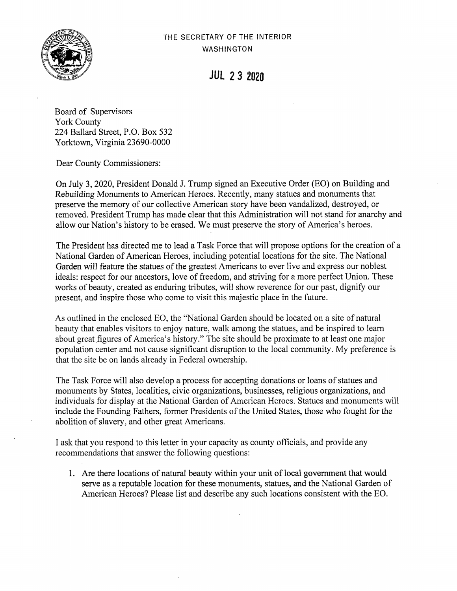

**JUL 2***3* **<sup>2020</sup>**

Board of Supervisors York County 224 Ballard Street, P.O. Box 532 Yorktown, Virginia 23690-0000

Dear County Commissioners:

On July 3, 2020, President Donald J. Trump signed an Executive Order (EO) on Building and Rebuilding Monuments to American Heroes. Recently, many statues and monuments that preserve the memory of our collective American story have been vandalized, destroyed, or removed. President Trump has made clear that this Administration will not stand for anarchy and allow our Nation's history to be erased. We must preserve the story of America's heroes.

The President has directed me to lead a Task Force that will propose options for the creation of a National Garden of American Heroes, including potential locations for the site. The National Garden will feature the statues of the greatest Americans to ever live and express our noblest ideals: respect for our ancestors, love of freedom, and striving for a more perfect Union. These works of beauty, created as enduring tributes, will show reverence for our past, dignify our present, and inspire those who come to visit this majestic place in the future.

As outlined in the enclosed EO, the ''National Garden should be located on a site of natural beauty that enables visitors to enjoy nature, walk among the statues, and be inspired to learn about great figures of America's history." The site should be proximate to at least one major population center and not cause significant disruption to the local community. My preference is that the site be on lands already in Federal ownership.

The Task Force will also develop a process for accepting donations or loans of statues and monuments by States, localities, civic organizations, businesses, religious organizations, and individuals for display at the National Garden of American Heroes. Statues and monuments will include the Founding Fathers, former Presidents of the United States, those who fought for the abolition of slavery, and other great Americans.

I ask that you respond to this letter in your capacity as county officials, and provide any recommendations that answer the following questions:

1. Are there locations of natural beauty within your unit of local government that would serve as a reputable location for these monuments, statues, and the National Garden of American Heroes? Please list and describe any such locations consistent with the EO.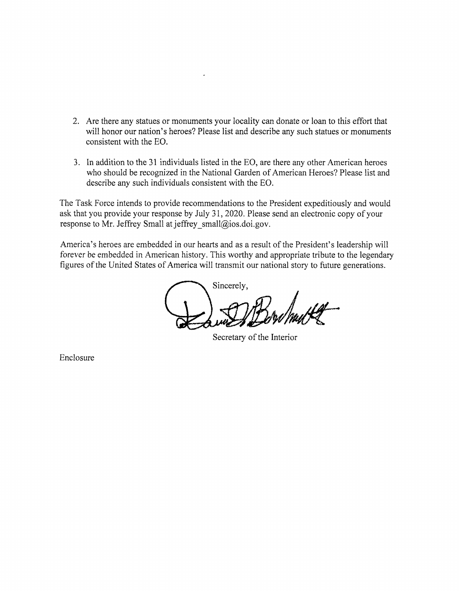- 2. Are there any statues or monuments your locality can donate or loan to this effort that will honor our nation's heroes? Please list and describe any such statues or monuments consistent with the EO.
- 3. In addition to the 31 individuals listed in the EO, are there any other American heroes who should be recognized in the National Garden of American Heroes? Please list and describe any such individuals consistent with the EO.

The Task Force intends to provide recommendations to the President expeditiously and would ask that you provide your response by July 31, 2020. Please send an electronic copy of your response to Mr. Jeffrey Small at jeffrey small@ios.doi.gov.

America's heroes are embedded in our hearts and as **a** result of the President's leadership will forever be embedded in American history. This worthy and appropriate tribute to the legendary figures of the United States of America will transmit our national story to future generations.

Sincerely,

Secretary of the Interior

Enclosure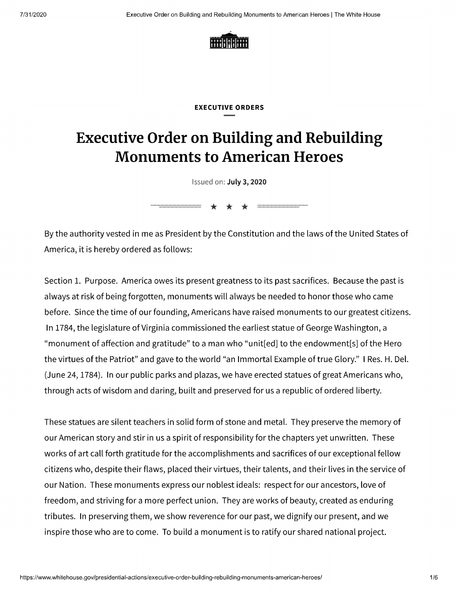

## **EXECUTIVE ORDERS**

## **Executive Order on Building and Rebuilding Monuments to American Heroes**

llssued on: **July 3, 2020** 

 $* * * =$ 

By the authority vested in me as President by the Constitution and the laws of the United States of America, it is hereby ordered as follows:

Section 1. Purpose. America owes its present greatness to its past sacrifices. Because the past is always at risk of being forgotten, monuments will always be needed to honor those who came before. Since the time of our founding, Americans have raised monuments to our greatest citizens. In 1784, the legislature of Virginia commissioned the earliest statue of George Washington, a "monument of affection and gratitude" to a man who "unit[ed] to the endowment[s] of the Hero the virtues of the Patriot" and gave to the world "an Immortal Example of true Glory." I Res. H. Del. (June 24, 1784). In our public parks and plazas, we have erected statues of great Americans who, through acts of wisdom and daring, built and preserved for us a republic of ordered liberty.

These statues are silent teachers in solid form of stone and metal. They preserve the memory of our American story and stir in us a spirit of responsibility for the chapters yet unwritten. These works of art call forth gratitude for the accomplishments and sacrifices of our exceptional fellow citizens who, despite their flaws, placed their virtues, their talents, and their lives in the service of our Nation. These monuments express our noblest ideals: respect for our ancestors, love of freedom, and striving for a more perfect union. They are works of beauty, created as enduring tributes. In preserving them, we show reverence for our past, we dignify our present, and we inspire those who are to come. To build a monument is to ratify our shared national project.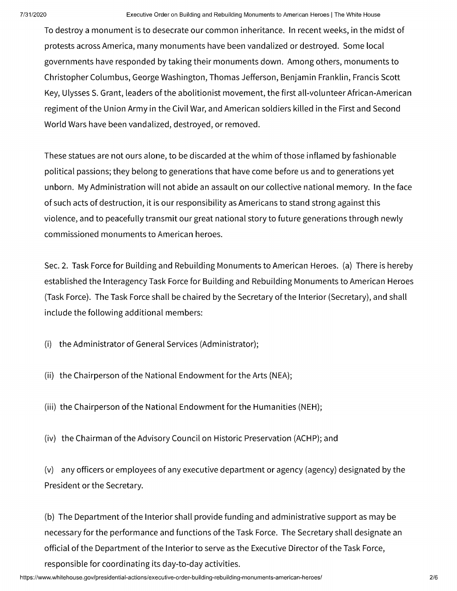To destroy a monument is to desecrate our common inheritance. In recent weeks, in the midst of protests across America, many monuments have been vandalized or destroyed. Some local governments have responded by taking their monuments down. Among others, monuments to Christopher Columbus, George Washington, Thomas Jefferson, Benjamin Franklin, Francis Scott Key, Ulysses S. Grant, leaders of the abolitionist movement, the first all-volunteer African-American regiment of the Union Army in the Civil War, and American soldiers killed in the First and Second World Wars have been vandalized, destroyed, or removed.

These statues are not ours alone, to be discarded at the whim of those inflamed by fashionable political passions; they belong to generations that have come before us and to generations yet unborn. My Administration will not abide an assault on our collective national memory. In the face of such acts of destruction, it is our responsibility as Americans to stand strong against this violence, and to peacefully transmit our great national story to future generations through newly commissioned monuments to American heroes.

Sec. 2. Task Force for Building and Rebuilding Monuments to American Heroes. (a) There is hereby established the lnteragency Task Force for Building and Rebuilding Monuments to American Heroes (Task Force). The Task Force shall be chaired by the Secretary of the Interior (Secretary), and shall include the following additional members:

(i) the Administrator of General Services (Administrator);

(ii) the Chairperson of the National Endowment for the Arts (NEA);

(iii) the Chairperson of the National Endowment for the Humanities (NEH);

(iv) the Chairman of the Advisory Council on Historic Preservation (ACHP); and

(v) any officers or employees of any executive department or agency (agency) designated by the President or the Secretary.

(b) The Department of the Interior shall provide funding and administrative support as may be necessary for the performance and functions of the Task Force. The Secretary shall designate an official of the Department of the Interior to serve as the Executive Director of the Task Force, responsible for coordinating its day-to-day activities.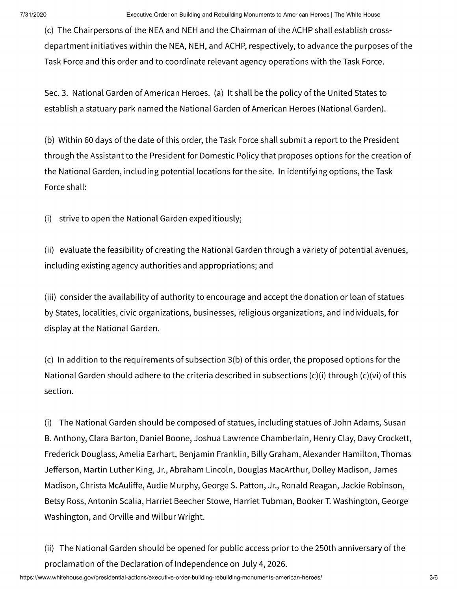(c) The Chairpersons of the NEA and NEH and the Chairman of the ACHP shall establish crossdepartment initiatives within the NEA, NEH, and ACHP, respectively, to advance the purposes of the Task Force and this order and to coordinate relevant agency operations with the Task Force.

Sec. 3. National Garden of American Heroes. (a) It shall be the policy of the United States to establish a statuary park named the National Garden of American Heroes (National Garden).

(b) Within 60 days of the date of this order, the Task Force shall submit a report to the President through the Assistant to the President for Domestic Policy that proposes options for the creation of the National Garden, including potential locations for the site. In identifying options, the Task Force shall:

(i) strive to open the National Garden expeditiously;

(ii) evaluate the feasibility of creating the National Garden through a variety of potential avenues, including existing agency authorities and appropriations; and

(iii) consider the availability of authority to encourage and accept the donation or loan of statues by States, localities, civic organizations, businesses, religious organizations, and individuals, for display at the National Garden.

(c) In addition to the requirements of subsection 3(b) of this order, the proposed options for the National Garden should adhere to the criteria described in subsections (c)(i) through (c)(vi) of this section.

(i) The National Garden should be composed of statues, including statues of John Adams, Susan B. Anthony, Clara Barton, Daniel Boone, Joshua Lawrence Chamberlain, Henry Clay, Davy Crockett, Frederick Douglass, Amelia Earhart, Benjamin Franklin, Billy Graham, Alexander Hamilton, Thomas Jefferson, Martin Luther King, Jr., Abraham Lincoln, Douglas MacArthur, Dolley Madison, James Madison, Christa McAuliffe, Audie Murphy, George S. Patton, Jr., Ronald Reagan, Jackie Robinson, Betsy Ross, Antonin Scalia, Harriet Beecher Stowe, Harriet Tubman, Booker T. Washington, George Washington, and Orville and Wilbur Wright.

(ii) The National Garden should be opened for public access prior to the 250th anniversary of the proclamation of the Declaration of Independence on July 4, 2026.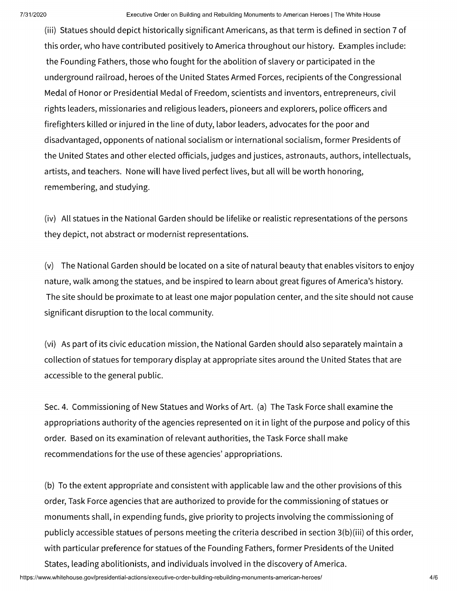(iii) Statues should depict historically significant Americans, as that term is defined in section 7 of this order, who have contributed positively to America throughout our history. Examples include: the Founding Fathers, those who fought for the abolition of slavery or participated in the underground railroad, heroes of the United States Armed Forces, recipients of the Congressional Medal of Honor or Presidential Medal of Freedom, scientists and inventors, entrepreneurs, civil rights leaders, missionaries and religious leaders, pioneers and explorers, police officers and firefighters killed or injured in the line of duty, labor leaders, advocates for the poor and disadvantaged, opponents of national socialism or international socialism, former Presidents of the United States and other elected officials, judges and justices, astronauts, authors, intellectuals, artists, and teachers. None will have lived perfect lives, but all will be worth honoring, remembering, and studying.

(iv) All statues in the National Garden should be lifelike or realistic representations of the persons they depict, not abstract or modernist representations.

(v) The National Garden should be located on a site of natural beauty that enables visitors to enjoy nature, walk among the statues, and be inspired to learn about great figures of America's history. The site should be proximate to at least one major population center, and the site should not cause significant disruption to the local community.

(vi) As part of its civic education mission, the National Garden should also separately maintain a collection of statues for temporary display at appropriate sites around the United States that are accessible to the general public.

Sec. 4. Commissioning of New Statues and Works of Art. (a) The Task Force shall examine the appropriations authority of the agencies represented on it in light of the purpose and policy of this order. Based on its examination of relevant authorities, the Task Force shall make recommendations for the use of these agencies' appropriations.

(b) To the extent appropriate and consistent with applicable law and the other provisions of this order, Task Force agencies that are authorized to provide for the commissioning of statues or monuments shall, in expending funds, give priority to projects involving the commissioning of publicly accessible statues of persons meeting the criteria described in section 3(b)(iii) of this order, with particular preference for statues of the Founding Fathers, former Presidents of the United States, leading abolitionists, and individuals involved in the discovery of America.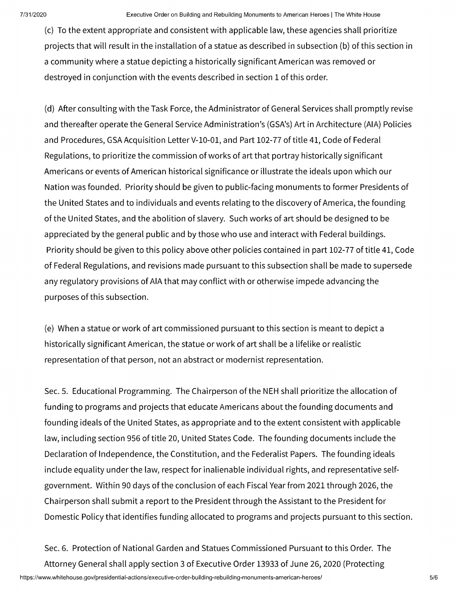(c) To the extent appropriate and consistent with applicable law, these agencies shall prioritize projects that will result in the installation of a statue as described in subsection (b) of this section in a community where a statue depicting a historically significant American was removed or destroyed in conjunction with the events described in section 1 of this order.

(d) After consulting with the Task Force, the Administrator of General Services shall promptly revise and thereafter operate the General Service Administration's (GSA's) Art in Architecture (AIA) Policies and Procedures, GSA Acquisition Letter V-10-01, and Part 102-77 of title 41, Code of Federal Regulations, to prioritize the commission of works of art that portray historically significant Americans or events of American historical significance or illustrate the ideals upon which our Nation was founded. Priority should be given to public-facing monuments to former Presidents of the United States and to individuals and events relating to the discovery of America, the founding of the United States, and the abolition of slavery. Such works of art should be designed to be appreciated by the general public and by those who use and interact with Federal buildings. Priority should be given to this policy above other policies contained in part 102-77 of title 41, Code of Federal Regulations, and revisions made pursuant to this subsection shall be made to supersede any regulatory provisions of AIA that may conflict with or otherwise impede advancing the purposes of this subsection.

(e) When a statue or work of art commissioned pursuant to this section is meant to depict a historically significant American, the statue or work of art shall be a lifelike or realistic representation of that person, not an abstract or modernist representation.

Sec. 5. Educational Programming. The Chairperson of the NEH shall prioritize the allocation of funding to programs and projects that educate Americans about the founding documents and founding ideals of the United States, as appropriate and to the extent consistent with applicable law, including section 956 of title 20, United States Code. The founding documents include the Declaration of Independence, the Constitution, and the Federalist Papers. The founding ideals include equality under the law, respect for inalienable individual rights, and representative selfgovernment. Within 90 days of the conclusion of each Fiscal Year from 2021 through 2026, the Chairperson shall submit a report to the President through the Assistant to the President for Domestic Policy that identifies funding allocated to programs and projects pursuant to this section.

Sec. 6. Protection of National Garden and Statues Commissioned Pursuant to this Order. The Attorney General shall apply section 3 of Executive Order 13933 of June 26, 2020 (Protecting <https://www.whitehouse.gov/presidential-actions/executive-order-building-rebuilding-monuments-american-heroes>/ 5/6